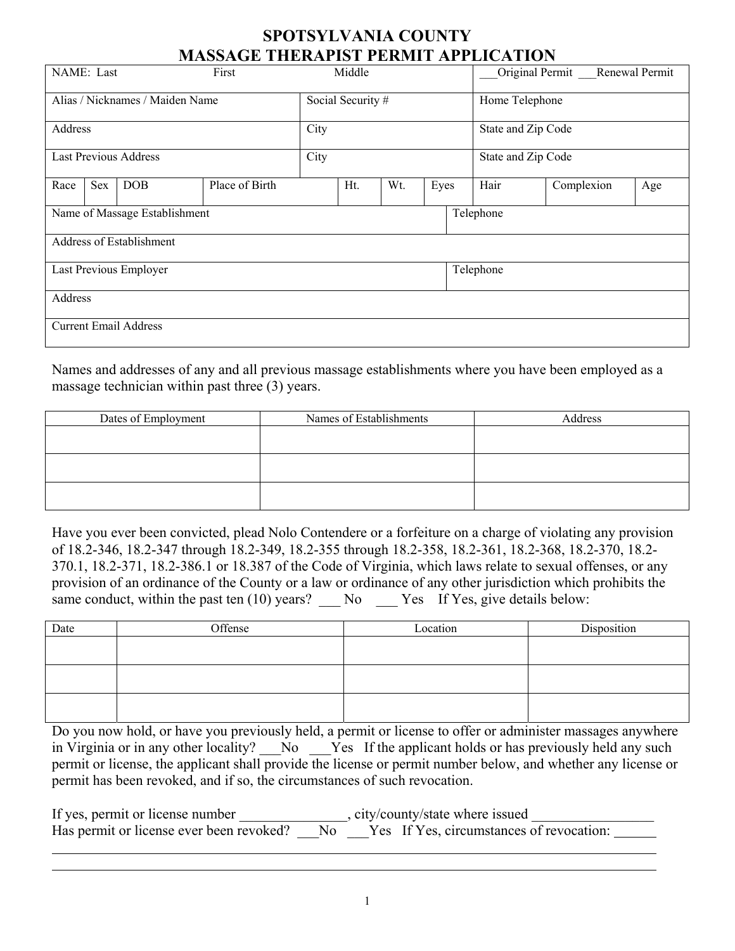## **SPOTSYLVANIA COUNTY MASSAGE THERAPIST PERMIT APPLICATION**

| <u>MINDOI IILINII IDI LEIMILLII LIITULII ON</u> |                              |            |                |                    |  |  |  |                    |                                   |     |  |
|-------------------------------------------------|------------------------------|------------|----------------|--------------------|--|--|--|--------------------|-----------------------------------|-----|--|
| NAME: Last<br>First                             |                              |            |                | Middle             |  |  |  |                    | Renewal Permit<br>Original Permit |     |  |
| Alias / Nicknames / Maiden Name                 |                              |            |                | Social Security #  |  |  |  | Home Telephone     |                                   |     |  |
| Address                                         |                              |            |                | City               |  |  |  | State and Zip Code |                                   |     |  |
| <b>Last Previous Address</b>                    |                              |            |                | City               |  |  |  |                    | State and Zip Code                |     |  |
| Race                                            | Sex                          | <b>DOB</b> | Place of Birth | Ht.<br>Wt.<br>Eyes |  |  |  | Hair               | Complexion                        | Age |  |
| Name of Massage Establishment                   |                              |            |                | Telephone          |  |  |  |                    |                                   |     |  |
| <b>Address of Establishment</b>                 |                              |            |                |                    |  |  |  |                    |                                   |     |  |
| Last Previous Employer                          |                              |            |                | Telephone          |  |  |  |                    |                                   |     |  |
| Address                                         |                              |            |                |                    |  |  |  |                    |                                   |     |  |
|                                                 | <b>Current Email Address</b> |            |                |                    |  |  |  |                    |                                   |     |  |

Names and addresses of any and all previous massage establishments where you have been employed as a massage technician within past three (3) years.

| Dates of Employment | Names of Establishments | Address |
|---------------------|-------------------------|---------|
|                     |                         |         |
|                     |                         |         |
|                     |                         |         |
|                     |                         |         |
|                     |                         |         |
|                     |                         |         |

Have you ever been convicted, plead Nolo Contendere or a forfeiture on a charge of violating any provision of 18.2-346, 18.2-347 through 18.2-349, 18.2-355 through 18.2-358, 18.2-361, 18.2-368, 18.2-370, 18.2- 370.1, 18.2-371, 18.2-386.1 or 18.387 of the Code of Virginia, which laws relate to sexual offenses, or any provision of an ordinance of the County or a law or ordinance of any other jurisdiction which prohibits the same conduct, within the past ten  $(10)$  years?  $\_\_$  No  $\_\_$  Yes If Yes, give details below:

| Date | Offense | Location | Disposition |
|------|---------|----------|-------------|
|      |         |          |             |
|      |         |          |             |
|      |         |          |             |
|      |         |          |             |
|      |         |          |             |
|      |         |          |             |

Do you now hold, or have you previously held, a permit or license to offer or administer massages anywhere in Virginia or in any other locality? No Yes If the applicant holds or has previously held any such permit or license, the applicant shall provide the license or permit number below, and whether any license or permit has been revoked, and if so, the circumstances of such revocation.

| If yes, permit or license number | , city/county/state where issued                                                     |
|----------------------------------|--------------------------------------------------------------------------------------|
|                                  | Has permit or license ever been revoked? No Yes If Yes, circumstances of revocation: |